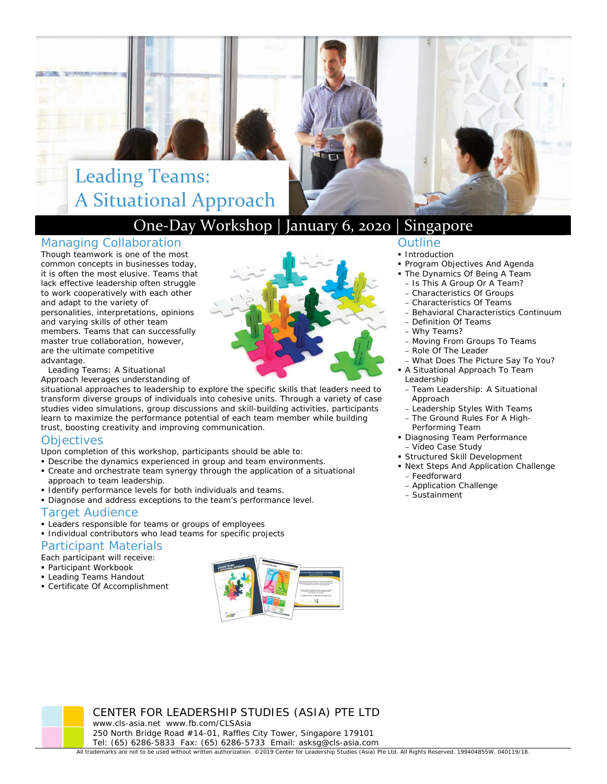# Leading Teams: A Situational Approach

## One‐Day Workshop | January 6, 2020 | Singapore

#### Managing Collaboration

Though teamwork is one of the most common concepts in businesses today, it is often the most elusive. Teams that lack effective leadership often struggle to work cooperatively with each other and adapt to the variety of personalities, interpretations, opinions and varying skills of other team members. Teams that can successfully master true collaboration, however, are the ultimate competitive a dvantage.

*Leading Teams: A Situational* 

transform diverse groups of individuals into cohesive units. Through a variety of case studies video simulations, group discussions and skill-building activities, participants trust, boosting creativity and improving communication. *Approach* leverages understanding of situational approaches to leadership to explore the specific skills that leaders need to learn to maximize the performance potential of each team member while building

#### **Objectives**

- Upon completion of this workshop, participants should be able to:
- Describe the dynamics experienced in group and team environments.
- Create and orchestrate team synergy through the application of a situational approach to team leadership.
- Identify performance levels for both individuals and teams.
- Diagnose and address exceptions to the team's performance level.

## Target Audience

- **Leaders responsible for teams or groups of employees**
- Individual contributors who lead teams for specific projects

## Participant Materials

Each participant will receive:

- Participant Workbook
- Leading Teams Handout Certificate Of Accomplishment



## Outline

- **Introduction**
- **Program Objectives And Agenda**
- **The Dynamics Of Being A Team** 
	- Is This A Group Or A Team? – Characteristics Of Groups
- Characteristics Of Teams
- Behavioral Characteristics Continuum
- Definition Of Teams
- Why Teams?
- Moving From Groups To Teams
- Role Of The Leader
- What Does The Picture Say To You?
- A Situational Approach To Team Leadership
- Team Leadership: A Situational Approach
- Leadership Styles With Teams
- The Ground Rules For A High-Performing Team
- **Diagnosing Team Performance** – Video Case Study
- Structured Skill Development
- Next Steps And Application Challenge – Feedforward
	- Application Challenge
- Sustainment

CENTER FOR LEADERSHIP STUDIES (ASIA) PTE LTD www.cls-asia.net www.fb.com/CLSAsia 250 North Bridge Road #14-01, Raffles City Tower, Singapore 179101 Tel: (65) 6286-5833 Fax: (65) 6286-5733 Email: asksg@cls-asia.com

All trademarks are not to be used without written authorization. ©2019 Center for Leadership Studies (Asia) Pte Ltd. All Rights Reserved. 199404855W. 040119/18.